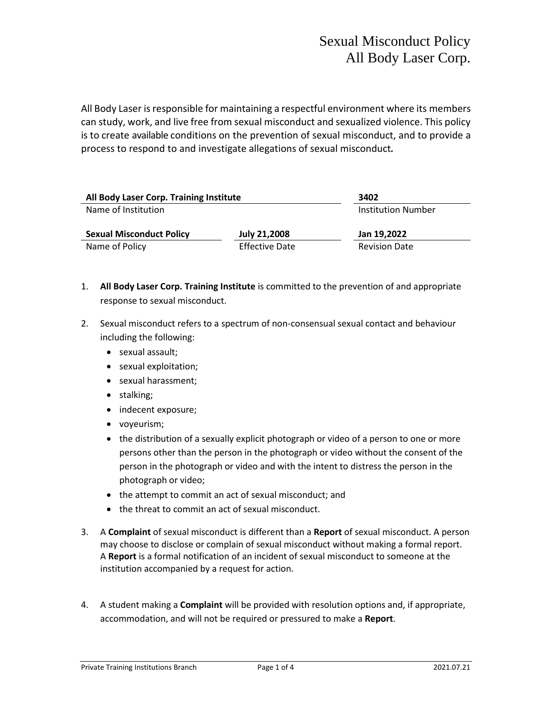All Body Laser is responsible for maintaining a respectful environment where its members can study, work, and live free from sexual misconduct and sexualized violence. This policy is to create available conditions on the prevention of sexual misconduct, and to provide a process to respond to and investigate allegations of sexual misconduct*.*

| All Body Laser Corp. Training Institute |                       | 3402                      |
|-----------------------------------------|-----------------------|---------------------------|
| Name of Institution                     |                       | <b>Institution Number</b> |
| <b>Sexual Misconduct Policy</b>         | <b>July 21,2008</b>   | Jan 19,2022               |
| Name of Policy                          | <b>Effective Date</b> | <b>Revision Date</b>      |

- 1. **All Body Laser Corp. Training Institute** is committed to the prevention of and appropriate response to sexual misconduct.
- 2. Sexual misconduct refers to a spectrum of non-consensual sexual contact and behaviour including the following:
	- sexual assault;
	- sexual exploitation;
	- sexual harassment;
	- stalking;
	- indecent exposure;
	- voyeurism;
	- the distribution of a sexually explicit photograph or video of a person to one or more persons other than the person in the photograph or video without the consent of the person in the photograph or video and with the intent to distress the person in the photograph or video;
	- the attempt to commit an act of sexual misconduct; and
	- the threat to commit an act of sexual misconduct.
- 3. A **Complaint** of sexual misconduct is different than a **Report** of sexual misconduct. A person may choose to disclose or complain of sexual misconduct without making a formal report. A **Report** is a formal notification of an incident of sexual misconduct to someone at the institution accompanied by a request for action.
- 4. A student making a **Complaint** will be provided with resolution options and, if appropriate, accommodation, and will not be required or pressured to make a **Report**.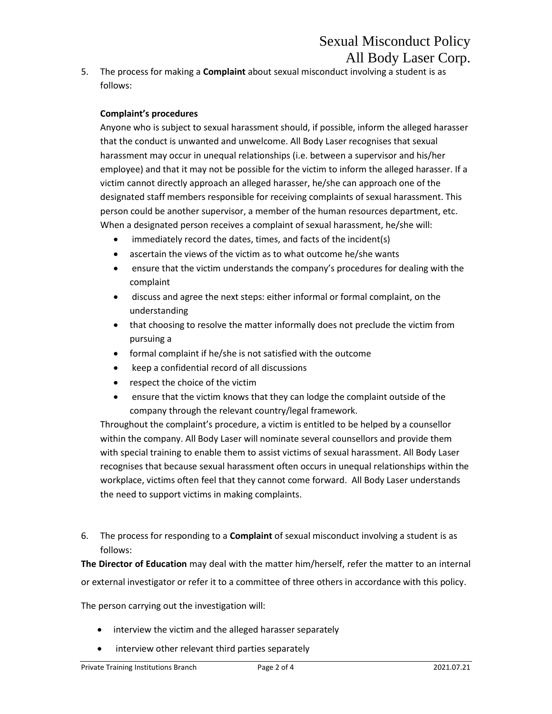## Sexual Misconduct Policy All Body Laser Corp.

5. The process for making a **Complaint** about sexual misconduct involving a student is as follows:

## **Complaint's procedures**

Anyone who is subject to sexual harassment should, if possible, inform the alleged harasser that the conduct is unwanted and unwelcome. All Body Laser recognises that sexual harassment may occur in unequal relationships (i.e. between a supervisor and his/her employee) and that it may not be possible for the victim to inform the alleged harasser. If a victim cannot directly approach an alleged harasser, he/she can approach one of the designated staff members responsible for receiving complaints of sexual harassment. This person could be another supervisor, a member of the human resources department, etc. When a designated person receives a complaint of sexual harassment, he/she will:

- immediately record the dates, times, and facts of the incident(s)
- ascertain the views of the victim as to what outcome he/she wants
- ensure that the victim understands the company's procedures for dealing with the complaint
- discuss and agree the next steps: either informal or formal complaint, on the understanding
- that choosing to resolve the matter informally does not preclude the victim from pursuing a
- formal complaint if he/she is not satisfied with the outcome
- keep a confidential record of all discussions
- respect the choice of the victim
- ensure that the victim knows that they can lodge the complaint outside of the company through the relevant country/legal framework.

Throughout the complaint's procedure, a victim is entitled to be helped by a counsellor within the company. All Body Laser will nominate several counsellors and provide them with special training to enable them to assist victims of sexual harassment. All Body Laser recognises that because sexual harassment often occurs in unequal relationships within the workplace, victims often feel that they cannot come forward. All Body Laser understands the need to support victims in making complaints.

6. The process for responding to a **Complaint** of sexual misconduct involving a student is as follows:

**The Director of Education** may deal with the matter him/herself, refer the matter to an internal or external investigator or refer it to a committee of three others in accordance with this policy.

The person carrying out the investigation will:

- interview the victim and the alleged harasser separately
- interview other relevant third parties separately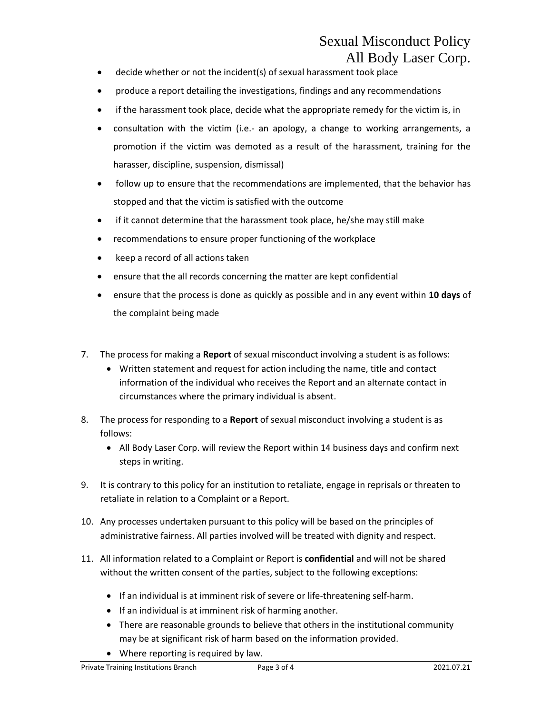## Sexual Misconduct Policy All Body Laser Corp.

- decide whether or not the incident(s) of sexual harassment took place
- produce a report detailing the investigations, findings and any recommendations
- if the harassment took place, decide what the appropriate remedy for the victim is, in
- consultation with the victim (i.e.- an apology, a change to working arrangements, a promotion if the victim was demoted as a result of the harassment, training for the harasser, discipline, suspension, dismissal)
- follow up to ensure that the recommendations are implemented, that the behavior has stopped and that the victim is satisfied with the outcome
- if it cannot determine that the harassment took place, he/she may still make
- recommendations to ensure proper functioning of the workplace
- keep a record of all actions taken
- ensure that the all records concerning the matter are kept confidential
- ensure that the process is done as quickly as possible and in any event within **10 days** of the complaint being made
- 7. The process for making a **Report** of sexual misconduct involving a student is as follows:
	- Written statement and request for action including the name, title and contact information of the individual who receives the Report and an alternate contact in circumstances where the primary individual is absent.
- 8. The process for responding to a **Report** of sexual misconduct involving a student is as follows:
	- All Body Laser Corp. will review the Report within 14 business days and confirm next steps in writing.
- 9. It is contrary to this policy for an institution to retaliate, engage in reprisals or threaten to retaliate in relation to a Complaint or a Report.
- 10. Any processes undertaken pursuant to this policy will be based on the principles of administrative fairness. All parties involved will be treated with dignity and respect.
- 11. All information related to a Complaint or Report is **confidential** and will not be shared without the written consent of the parties, subject to the following exceptions:
	- If an individual is at imminent risk of severe or life-threatening self-harm.
	- If an individual is at imminent risk of harming another.
	- There are reasonable grounds to believe that others in the institutional community may be at significant risk of harm based on the information provided.
	- Where reporting is required by law.